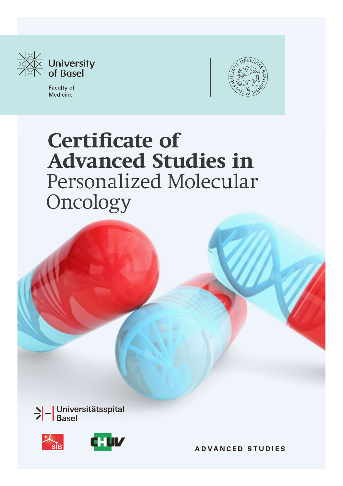

Faculty of Medicine



# **Certificate of Advanced Studies in**  Personalized Molecular **Oncology**





**ADVANCED STUDIES**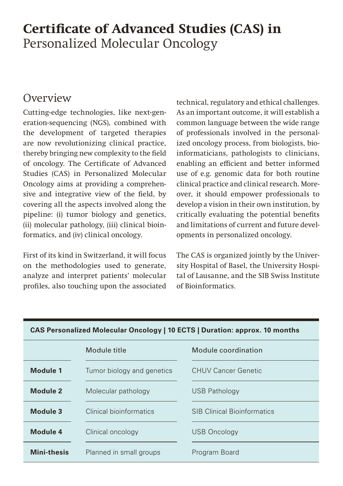# **Certificate of Advanced Studies (CAS) in** Personalized Molecular Oncology

# **Overview**

Cutting-edge technologies, like next-generation-sequencing (NGS), combined with the development of targeted therapies are now revolutionizing clinical practice, thereby bringing new complexity to the field of oncology. The Certificate of Advanced Studies (CAS) in Personalized Molecular Oncology aims at providing a comprehensive and integrative view of the field, by covering all the aspects involved along the pipeline: (i) tumor biology and genetics, (ii) molecular pathology, (iii) clinical bioinformatics, and (iv) clinical oncology.

First of its kind in Switzerland, it will focus on the methodologies used to generate, analyze and interpret patients' molecular profiles, also touching upon the associated technical, regulatory and ethical challenges. As an important outcome, it will establish a common language between the wide range of professionals involved in the personalized oncology process, from biologists, bioinformaticians, pathologists to clinicians, enabling an efficient and better informed use of e.g. genomic data for both routine clinical practice and clinical research. Moreover, it should empower professionals to develop a vision in their own institution, by critically evaluating the potential benefits and limitations of current and future developments in personalized oncology.

The CAS is organized jointly by the University Hospital of Basel, the University Hospital of Lausanne, and the SIB Swiss Institute of Bioinformatics.

| $\sim$ . $\sim$ . The main called the contract $\sim$ . The contract $\sim$ . The main contract of $\sim$ . The main contract of $\sim$ |                            |                                    |
|-----------------------------------------------------------------------------------------------------------------------------------------|----------------------------|------------------------------------|
|                                                                                                                                         | Module title               | Module coordination                |
| <b>Module 1</b>                                                                                                                         | Tumor biology and genetics | <b>CHUV Cancer Genetic</b>         |
| <b>Module 2</b>                                                                                                                         | Molecular pathology        | <b>USB Pathology</b>               |
| Module 3                                                                                                                                | Clinical bioinformatics    | <b>SIB Clinical Bioinformatics</b> |
| Module 4                                                                                                                                | Clinical oncology          | <b>USB Oncology</b>                |
| <b>Mini-thesis</b>                                                                                                                      | Planned in small groups    | Program Board                      |

### **CAS Personalized Molecular Oncology | 10 ECTS | Duration: approx. 10 months**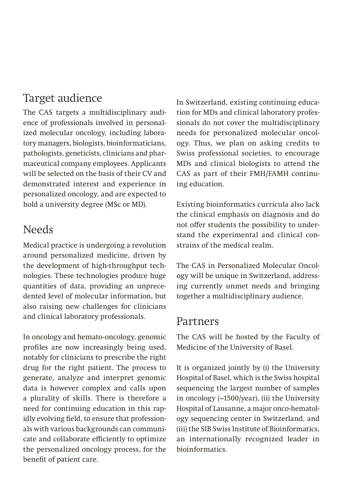### Target audience

The CAS targets a multidisciplinary audience of professionals involved in personalized molecular oncology, including laboratory managers, biologists, bioinformaticians, pathologists, geneticists, clinicians and pharmaceutical company employees. Applicants will be selected on the basis of their CV and demonstrated interest and experience in personalized oncology, and are expected to hold a university degree (MSc or MD).

### Needs

Medical practice is undergoing a revolution around personalized medicine, driven by the development of high-throughput technologies. These technologies produce huge quantities of data, providing an unprecedented level of molecular information, but also raising new challenges for clinicians and clinical laboratory professionals.

In oncology and hemato-oncology, genomic profiles are now increasingly being used, notably for clinicians to prescribe the right drug for the right patient. The process to generate, analyze and interpret genomic data is however complex and calls upon a plurality of skills. There is therefore a need for continuing education in this rapidly evolving field, to ensure that professionals with various backgrounds can communicate and collaborate efficiently to optimize the personalized oncology process, for the benefit of patient care.

In Switzerland, existing continuing education for MDs and clinical laboratory professionals do not cover the multidisciplinary needs for personalized molecular oncology. Thus, we plan on asking credits to Swiss professional societies, to encourage MDs and clinical biologists to attend the CAS as part of their FMH/FAMH continuing education.

Existing bioinformatics curricula also lack the clinical emphasis on diagnosis and do not offer students the possibility to understand the experimental and clinical constrains of the medical realm.

The CAS in Personalized Molecular Oncology will be unique in Switzerland, addressing currently unmet needs and bringing together a multidisciplinary audience.

### Partners

The CAS will be hosted by the Faculty of Medicine of the University of Basel.

It is organized jointly by (i) the University Hospital of Basel, which is the Swiss hospital sequencing the largest number of samples in oncology (~1500/year), (ii) the University Hospital of Lausanne, a major onco-hematology sequencing center in Switzerland, and (iii) the SIB Swiss Institute of Bioinformatics, an internationally recognized leader in bioinformatics.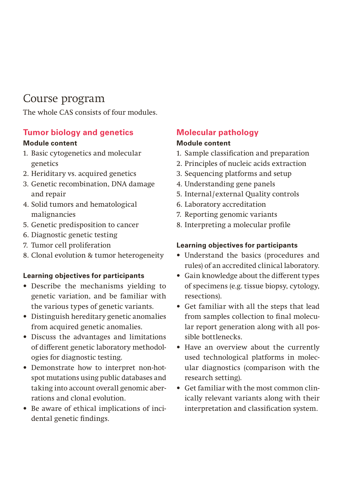# Course program

The whole CAS consists of four modules.

### **Tumor biology and genetics**

#### **Module content**

- 1. Basic cytogenetics and molecular genetics
- 2. Heriditary vs. acquired genetics
- 3. Genetic recombination, DNA damage and repair
- 4. Solid tumors and hematological malignancies
- 5. Genetic predisposition to cancer
- 6. Diagnostic genetic testing
- 7. Tumor cell proliferation
- 8. Clonal evolution & tumor heterogeneity

### **Learning objectives for participants**

- Describe the mechanisms yielding to genetic variation, and be familiar with the various types of genetic variants.
- Distinguish hereditary genetic anomalies from acquired genetic anomalies.
- Discuss the advantages and limitations of different genetic laboratory methodologies for diagnostic testing.
- Demonstrate how to interpret non-hotspot mutations using public databases and taking into account overall genomic aberrations and clonal evolution.
- Be aware of ethical implications of incidental genetic findings.

### **Molecular pathology**

#### **Module content**

- 1. Sample classification and preparation
- 2. Principles of nucleic acids extraction
- 3. Sequencing platforms and setup
- 4. Understanding gene panels
- 5. Internal/ external Quality controls
- 6. Laboratory accreditation
- 7. Reporting genomic variants
- 8. Interpreting a molecular profile

### **Learning objectives for participants**

- Understand the basics (procedures and rules) of an accredited clinical laboratory.
- Gain knowledge about the different types of specimens (e.g. tissue biopsy, cytology, resections).
- Get familiar with all the steps that lead from samples collection to final molecular report generation along with all possible bottlenecks.
- Have an overview about the currently used technological platforms in molecular diagnostics (comparison with the research setting).
- Get familiar with the most common clinically relevant variants along with their interpretation and classification system.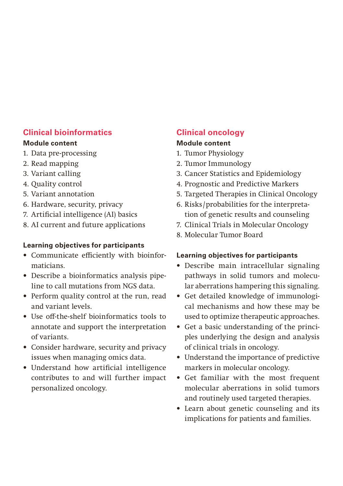### **Clinical bioinformatics**

#### **Module content**

- 1. Data pre-processing
- 2. Read mapping
- 3. Variant calling
- 4. Quality control
- 5. Variant annotation
- 6. Hardware, security, privacy
- 7. Artificial intelligence (AI) basics
- 8. AI current and future applications

### **Learning objectives for participants**

- Communicate efficiently with bioinformaticians.
- Describe a bioinformatics analysis pipeline to call mutations from NGS data.
- Perform quality control at the run, read and variant levels.
- Use off-the-shelf bioinformatics tools to annotate and support the interpretation of variants.
- Consider hardware, security and privacy issues when managing omics data.
- Understand how artificial intelligence contributes to and will further impact personalized oncology.

### **Clinical oncology**

#### **Module content**

- 1. Tumor Physiology
- 2. Tumor Immunology
- 3. Cancer Statistics and Epidemiology
- 4. Prognostic and Predictive Markers
- 5. Targeted Therapies in Clinical Oncology
- 6. Risks /probabilities for the interpretation of genetic results and counseling
- 7. Clinical Trials in Molecular Oncology
- 8. Molecular Tumor Board

#### **Learning objectives for participants**

- Describe main intracellular signaling pathways in solid tumors and molecular aberrations hampering this signaling.
- Get detailed knowledge of immunological mechanisms and how these may be used to optimize therapeutic approaches.
- Get a basic understanding of the principles underlying the design and analysis of clinical trials in oncology.
- Understand the importance of predictive markers in molecular oncology.
- Get familiar with the most frequent molecular aberrations in solid tumors and routinely used targeted therapies.
- Learn about genetic counseling and its implications for patients and families.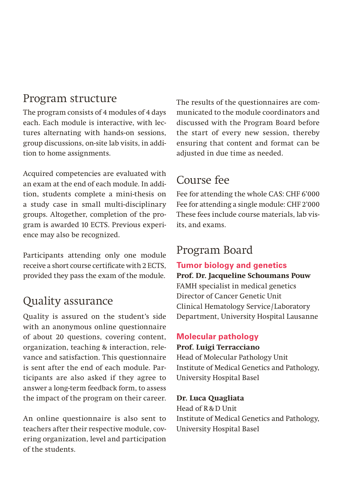### Program structure

The program consists of 4 modules of 4 days each. Each module is interactive, with lectures alternating with hands-on sessions, group discussions, on-site lab visits, in addition to home assignments.

Acquired competencies are evaluated with an exam at the end of each module. In addition, students complete a mini-thesis on a study case in small multi-disciplinary groups. Altogether, completion of the program is awarded 10 ECTS. Previous experience may also be recognized.

Participants attending only one module receive a short course certificate with 2 ECTS, provided they pass the exam of the module.

# Quality assurance

Quality is assured on the student's side with an anonymous online questionnaire of about 20 questions, covering content, organization, teaching & interaction, relevance and satisfaction. This questionnaire is sent after the end of each module. Participants are also asked if they agree to answer a long-term feedback form, to assess the impact of the program on their career.

An online questionnaire is also sent to teachers after their respective module, covering organization, level and participation of the students.

The results of the questionnaires are communicated to the module coordinators and discussed with the Program Board before the start of every new session, thereby ensuring that content and format can be adjusted in due time as needed.

# Course fee

Fee for attending the whole CAS: CHF 6'000 Fee for attending a single module: CHF 2'000 These fees include course materials, lab visits, and exams.

# Program Board

### **Tumor biology and genetics**

**Prof. Dr. Jacqueline Schoumans Pouw** FAMH specialist in medical genetics Director of Cancer Genetic Unit Clinical Hematology Service / Laboratory Department, University Hospital Lausanne

# **Molecular pathology**

### **Prof. Luigi Terracciano**

Head of Molecular Pathology Unit Institute of Medical Genetics and Pathology, University Hospital Basel

### **Dr. Luca Quagliata**

Head of R&D Unit Institute of Medical Genetics and Pathology, University Hospital Basel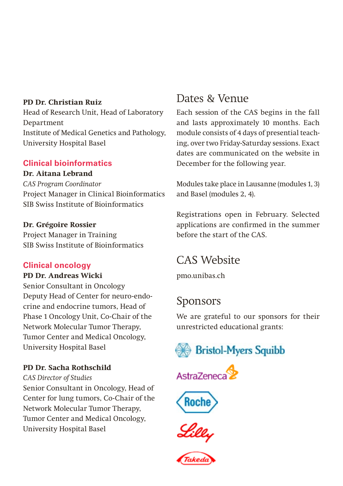#### **PD Dr. Christian Ruiz**

Head of Research Unit, Head of Laboratory Department Institute of Medical Genetics and Pathology, University Hospital Basel

#### **Clinical bioinformatics**

#### **Dr. Aitana Lebrand**

*CAS Program Coordinator* Project Manager in Clinical Bioinformatics SIB Swiss Institute of Bioinformatics

#### **Dr. Grégoire Rossier**

Project Manager in Training SIB Swiss Institute of Bioinformatics

### **Clinical oncology**

#### **PD Dr. Andreas Wicki**

Senior Consultant in Oncology Deputy Head of Center for neuro-endocrine and endocrine tumors, Head of Phase 1 Oncology Unit, Co-Chair of the Network Molecular Tumor Therapy, Tumor Center and Medical Oncology, University Hospital Basel

### **PD Dr. Sacha Rothschild**

*CAS Director of Studies*

Senior Consultant in Oncology, Head of Center for lung tumors, Co-Chair of the Network Molecular Tumor Therapy, Tumor Center and Medical Oncology, University Hospital Basel

# Dates & Venue

Each session of the CAS begins in the fall and lasts approximately 10 months. Each module consists of 4 days of presential teaching, over two Friday-Saturday sessions. Exact dates are communicated on the website in December for the following year.

Modules take place in Lausanne (modules 1, 3) and Basel (modules 2, 4).

Registrations open in February. Selected applications are confirmed in the summer before the start of the CAS.

# CAS Website

[pmo.unibas.ch](http://pmo.unibas.ch)

### Sponsors

We are grateful to our sponsors for their unrestricted educational grants: